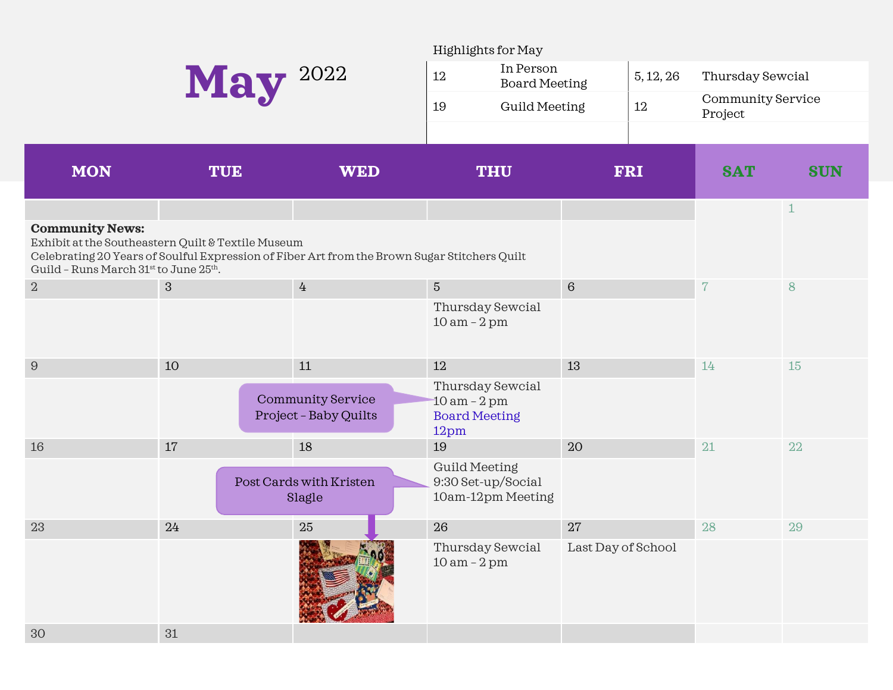|                                                                                                                                                |            |                                                                                              | Highlights for May                                                  |                      |            |                              |              |  |
|------------------------------------------------------------------------------------------------------------------------------------------------|------------|----------------------------------------------------------------------------------------------|---------------------------------------------------------------------|----------------------|------------|------------------------------|--------------|--|
| May 2022                                                                                                                                       |            |                                                                                              | In Person<br>12                                                     | <b>Board Meeting</b> |            | Thursday Sewcial             |              |  |
|                                                                                                                                                |            |                                                                                              | 19<br><b>Guild Meeting</b>                                          |                      | $12\,$     | Community Service<br>Project |              |  |
|                                                                                                                                                |            |                                                                                              |                                                                     |                      |            |                              |              |  |
| <b>MON</b>                                                                                                                                     | <b>TUE</b> | <b>WED</b>                                                                                   | <b>THU</b>                                                          |                      | <b>FRI</b> | <b>SAT</b>                   | <b>SUN</b>   |  |
| <b>Community News:</b><br>Exhibit at the Southeastern Quilt & Textile Museum<br>Guild - Runs March 31 <sup>st</sup> to June 25 <sup>th</sup> . |            | Celebrating 20 Years of Soulful Expression of Fiber Art from the Brown Sugar Stitchers Quilt |                                                                     |                      |            |                              | $\mathbf{1}$ |  |
| $\overline{2}$                                                                                                                                 | $\sqrt{3}$ | $\overline{4}$                                                                               | $\sqrt{5}$                                                          | $6\phantom{1}6$      |            | $\overline{7}$               | 8            |  |
|                                                                                                                                                |            |                                                                                              | Thursday Sewcial<br>$10 am - 2 pm$                                  |                      |            |                              |              |  |
| $\boldsymbol{9}$                                                                                                                               | 10         | 11                                                                                           | 12                                                                  | 13                   |            | 14                           | 15           |  |
|                                                                                                                                                |            | <b>Community Service</b><br>Project - Baby Quilts                                            | Thursday Sewcial<br>$10$ am $-2$ pm<br><b>Board Meeting</b><br>12pm |                      |            |                              |              |  |
| 16                                                                                                                                             | 17         | 18                                                                                           | 19                                                                  | 20                   |            | 21                           | 22           |  |
|                                                                                                                                                |            | Post Cards with Kristen<br>Slagle                                                            | <b>Guild Meeting</b><br>9:30 Set-up/Social<br>10am-12pm Meeting     |                      |            |                              |              |  |
| 23                                                                                                                                             | $24\,$     | $25\,$                                                                                       | 26                                                                  | 27                   |            | 28                           | 29           |  |
|                                                                                                                                                |            | <b>NEW YORK</b>                                                                              | Thursday Sewcial<br>$10 am - 2 pm$                                  | Last Day of School   |            |                              |              |  |
| 30                                                                                                                                             | 31         |                                                                                              |                                                                     |                      |            |                              |              |  |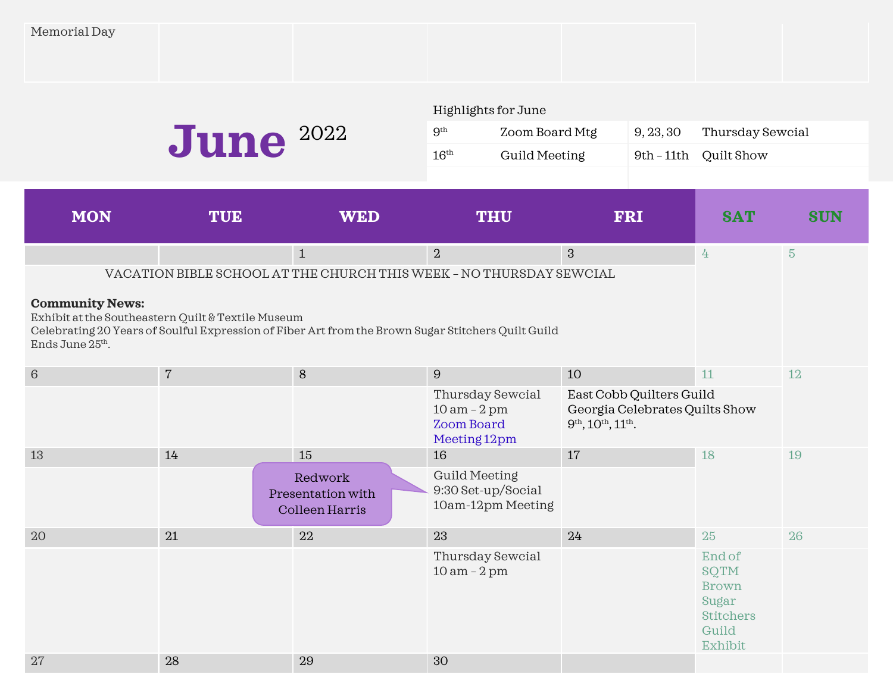| Memorial Day |
|--------------|
|--------------|

|                                           |                                                    |                                                                                                    | Highlights for June                                                     |                                                                                         |            |                                                                                 |                |  |  |
|-------------------------------------------|----------------------------------------------------|----------------------------------------------------------------------------------------------------|-------------------------------------------------------------------------|-----------------------------------------------------------------------------------------|------------|---------------------------------------------------------------------------------|----------------|--|--|
| <b>June</b> 2022                          |                                                    |                                                                                                    | $9^{\rm th}$                                                            | Zoom Board Mtg<br>9, 23, 30                                                             |            | Thursday Sewcial                                                                |                |  |  |
|                                           |                                                    |                                                                                                    | $16^{\text{th}}$<br><b>Guild Meeting</b>                                |                                                                                         | 9th - 11th | Quilt Show                                                                      |                |  |  |
|                                           |                                                    |                                                                                                    |                                                                         |                                                                                         |            |                                                                                 |                |  |  |
| <b>MON</b>                                | <b>TUE</b>                                         | <b>WED</b>                                                                                         | <b>THU</b>                                                              |                                                                                         | <b>FRI</b> | <b>SAT</b>                                                                      | <b>SUN</b>     |  |  |
|                                           |                                                    | $\mathbf{1}$                                                                                       | $\overline{2}$                                                          | 3                                                                                       |            | $4\overline{4}$                                                                 | $\overline{5}$ |  |  |
|                                           |                                                    | VACATION BIBLE SCHOOL AT THE CHURCH THIS WEEK - NO THURSDAY SEWCIAL                                |                                                                         |                                                                                         |            |                                                                                 |                |  |  |
| <b>Community News:</b><br>Ends June 25th. | Exhibit at the Southeastern Quilt & Textile Museum | Celebrating 20 Years of Soulful Expression of Fiber Art from the Brown Sugar Stitchers Quilt Guild |                                                                         |                                                                                         |            |                                                                                 |                |  |  |
| $\,6\,$                                   | $\overline{7}$                                     | $8\phantom{1}$                                                                                     | $\boldsymbol{9}$                                                        | 10                                                                                      |            | 11                                                                              | 12             |  |  |
|                                           |                                                    |                                                                                                    | Thursday Sewcial<br>$10 am - 2 pm$<br><b>Zoom Board</b><br>Meeting 12pm | East Cobb Quilters Guild<br>Georgia Celebrates Quilts Show<br>$9th$ , $10th$ , $11th$ . |            |                                                                                 |                |  |  |
| 13                                        | 14                                                 | 15                                                                                                 | 16                                                                      | 17                                                                                      |            | 18                                                                              | 19             |  |  |
|                                           |                                                    | Redwork<br>Presentation with<br>Colleen Harris                                                     | <b>Guild Meeting</b><br>9:30 Set-up/Social<br>10am-12pm Meeting         |                                                                                         |            |                                                                                 |                |  |  |
| 20                                        | 21                                                 | 22                                                                                                 | 23                                                                      | 24                                                                                      |            | 25                                                                              | 26             |  |  |
|                                           |                                                    |                                                                                                    | Thursday Sewcial<br>$10 am - 2 pm$                                      |                                                                                         |            | End of<br>SQTM<br><b>Brown</b><br>Sugar<br><b>Stitchers</b><br>Guild<br>Exhibit |                |  |  |

27 28 29 30